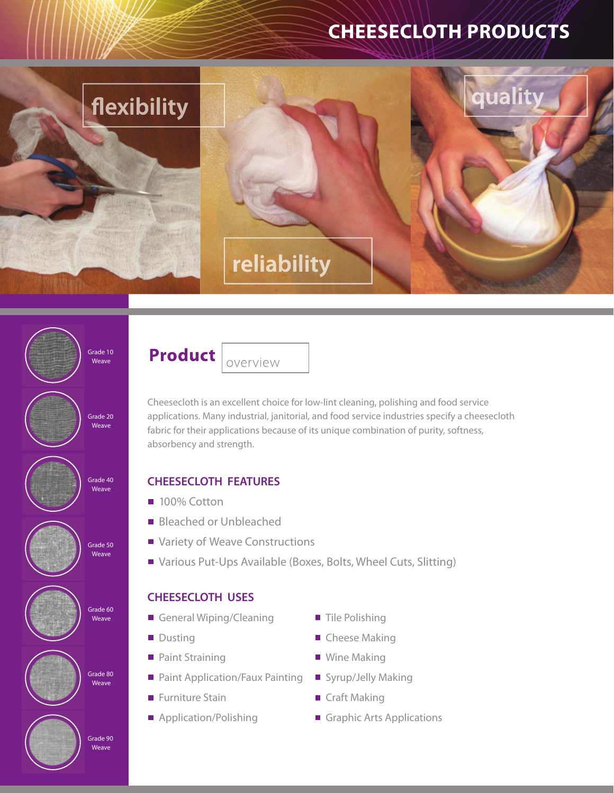# **CHEESECLOTH PRODUCTS**



Grade 10 Weave





Grade 80 **Weave** 





Cheesecloth is an excellent choice for low-lint cleaning, polishing and food service applications. Many industrial, janitorial, and food service industries specify a cheesecloth fabric for their applications because of its unique combination of purity, softness, absorbency and strength.

## **CHEESECLOTH FEATURES**

- 100% Cotton
- **Bleached or Unbleached**
- Variety of Weave Constructions
- Various Put-Ups Available (Boxes, Bolts, Wheel Cuts, Slitting)

# **CHEESECLOTH USES**

- General Wiping/Cleaning
- **Dusting**
- Paint Straining
- **Paint Application/Faux Painting**
- Furniture Stain
- Application/Polishing
- Tile Polishing
- Cheese Making
- Wine Making
- Syrup/Jelly Making
- Craft Making
- Graphic Arts Applications